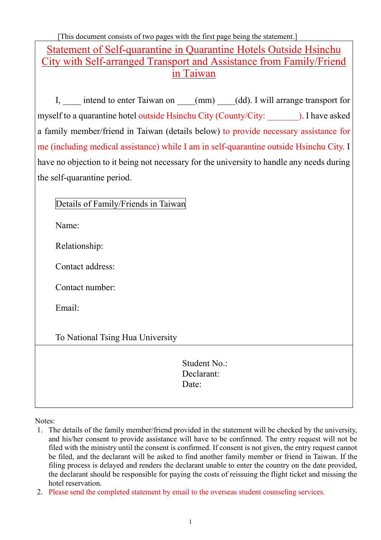[This document consists of two pages with the first page being the statement.] Statement of Self-quarantine in Quarantine Hotels Outside Hsinchu City with Self-arranged Transport and Assistance from Family/Friend in Taiwan

I, intend to enter Taiwan on  $(mm)$  (dd). I will arrange transport for myself to a quarantine hotel outside Hsinchu City (County/City: ). I have asked a family member/friend in Taiwan (details below) to provide necessary assistance for me (including medical assistance) while I am in self-quarantine outside Hsinchu City. I have no objection to it being not necessary for the university to handle any needs during the self-quarantine period.

| Details of Family/Friends in Taiwan |
|-------------------------------------|
|-------------------------------------|

Name:

Relationship:

Contact address:

Contact number:

Email:

To National Tsing Hua University

Student No.: Declarant: Date:

Notes:

- 1. The details of the family member/friend provided in the statement will be checked by the university, and his/her consent to provide assistance will have to be confirmed. The entry request will not be filed with the ministry until the consent is confirmed. If consent is not given, the entry request cannot be filed, and the declarant will be asked to find another family member or friend in Taiwan. If the filing process is delayed and renders the declarant unable to enter the country on the date provided, the declarant should be responsible for paying the costs of reissuing the flight ticket and missing the hotel reservation.
- 2. Please send the completed statement by email to the overseas student counseling services.